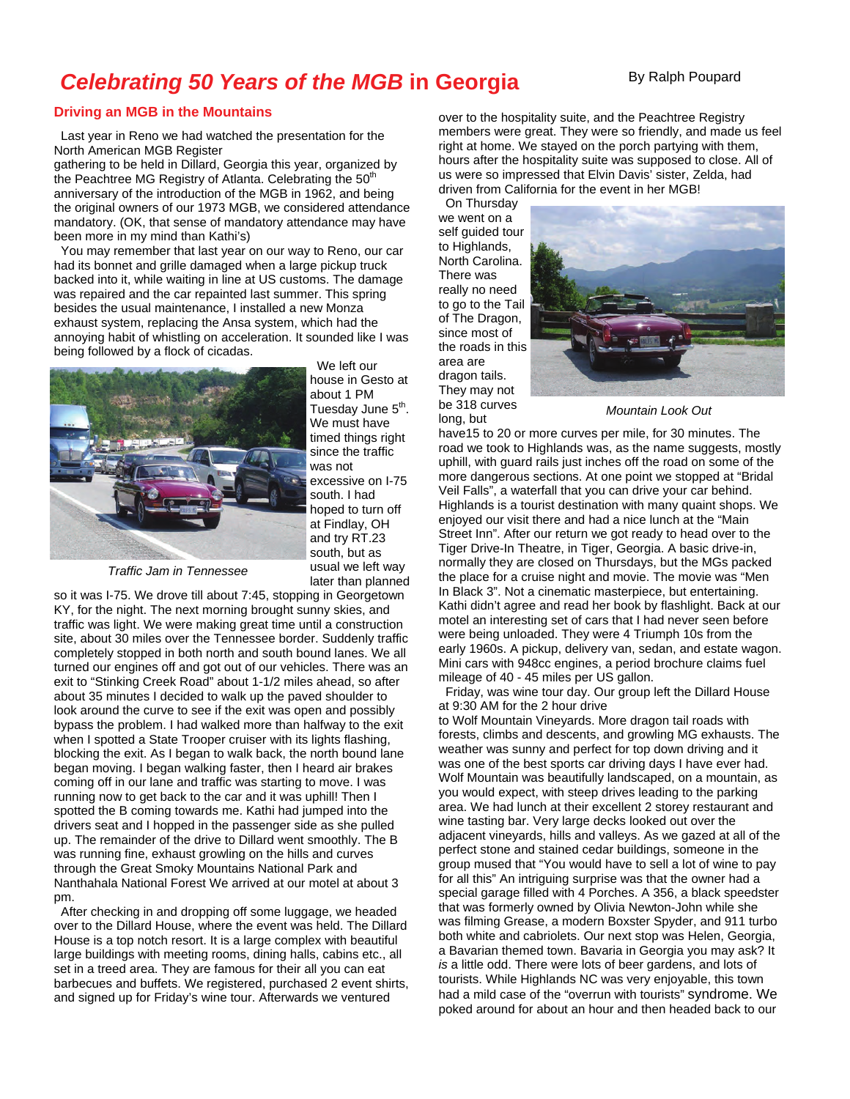## **Celebrating 50 Years of the MGB in Georgia** By Ralph Poupard

## **Driving an MGB in the Mountains**

 Last year in Reno we had watched the presentation for the North American MGB Register

gathering to be held in Dillard, Georgia this year, organized by the Peachtree MG Registry of Atlanta. Celebrating the  $50<sup>th</sup>$ anniversary of the introduction of the MGB in 1962, and being the original owners of our 1973 MGB, we considered attendance mandatory. (OK, that sense of mandatory attendance may have been more in my mind than Kathi's)

 You may remember that last year on our way to Reno, our car had its bonnet and grille damaged when a large pickup truck backed into it, while waiting in line at US customs. The damage was repaired and the car repainted last summer. This spring besides the usual maintenance, I installed a new Monza exhaust system, replacing the Ansa system, which had the annoying habit of whistling on acceleration. It sounded like I was being followed by a flock of cicadas.



 We left our house in Gesto at about 1 PM Tuesday June 5<sup>th</sup>. We must have timed things right since the traffic was not excessive on I-75 south. I had hoped to turn off at Findlay, OH and try RT.23 south, but as usual we left way later than planned

*Traffic Jam in Tennessee* 

so it was I-75. We drove till about 7:45, stopping in Georgetown KY, for the night. The next morning brought sunny skies, and traffic was light. We were making great time until a construction site, about 30 miles over the Tennessee border. Suddenly traffic completely stopped in both north and south bound lanes. We all turned our engines off and got out of our vehicles. There was an exit to "Stinking Creek Road" about 1-1/2 miles ahead, so after about 35 minutes I decided to walk up the paved shoulder to look around the curve to see if the exit was open and possibly bypass the problem. I had walked more than halfway to the exit when I spotted a State Trooper cruiser with its lights flashing, blocking the exit. As I began to walk back, the north bound lane began moving. I began walking faster, then I heard air brakes coming off in our lane and traffic was starting to move. I was running now to get back to the car and it was uphill! Then I spotted the B coming towards me. Kathi had jumped into the drivers seat and I hopped in the passenger side as she pulled up. The remainder of the drive to Dillard went smoothly. The B was running fine, exhaust growling on the hills and curves through the Great Smoky Mountains National Park and Nanthahala National Forest We arrived at our motel at about 3 pm.

 After checking in and dropping off some luggage, we headed over to the Dillard House, where the event was held. The Dillard House is a top notch resort. It is a large complex with beautiful large buildings with meeting rooms, dining halls, cabins etc., all set in a treed area. They are famous for their all you can eat barbecues and buffets. We registered, purchased 2 event shirts, and signed up for Friday's wine tour. Afterwards we ventured

over to the hospitality suite, and the Peachtree Registry members were great. They were so friendly, and made us feel right at home. We stayed on the porch partying with them, hours after the hospitality suite was supposed to close. All of us were so impressed that Elvin Davis' sister, Zelda, had driven from California for the event in her MGB!

 On Thursday we went on a self guided tour to Highlands, North Carolina. There was really no need to go to the Tail of The Dragon, since most of the roads in this area are dragon tails. They may not be 318 curves long, but



*Mountain Look Out* 

have15 to 20 or more curves per mile, for 30 minutes. The road we took to Highlands was, as the name suggests, mostly uphill, with guard rails just inches off the road on some of the more dangerous sections. At one point we stopped at "Bridal Veil Falls", a waterfall that you can drive your car behind. Highlands is a tourist destination with many quaint shops. We enjoyed our visit there and had a nice lunch at the "Main Street Inn". After our return we got ready to head over to the Tiger Drive-In Theatre, in Tiger, Georgia. A basic drive-in, normally they are closed on Thursdays, but the MGs packed the place for a cruise night and movie. The movie was "Men In Black 3". Not a cinematic masterpiece, but entertaining. Kathi didn't agree and read her book by flashlight. Back at our motel an interesting set of cars that I had never seen before were being unloaded. They were 4 Triumph 10s from the early 1960s. A pickup, delivery van, sedan, and estate wagon. Mini cars with 948cc engines, a period brochure claims fuel mileage of 40 - 45 miles per US gallon.

 Friday, was wine tour day. Our group left the Dillard House at 9:30 AM for the 2 hour drive

to Wolf Mountain Vineyards. More dragon tail roads with forests, climbs and descents, and growling MG exhausts. The weather was sunny and perfect for top down driving and it was one of the best sports car driving days I have ever had. Wolf Mountain was beautifully landscaped, on a mountain, as you would expect, with steep drives leading to the parking area. We had lunch at their excellent 2 storey restaurant and wine tasting bar. Very large decks looked out over the adjacent vineyards, hills and valleys. As we gazed at all of the perfect stone and stained cedar buildings, someone in the group mused that "You would have to sell a lot of wine to pay for all this" An intriguing surprise was that the owner had a special garage filled with 4 Porches. A 356, a black speedster that was formerly owned by Olivia Newton-John while she was filming Grease, a modern Boxster Spyder, and 911 turbo both white and cabriolets. Our next stop was Helen, Georgia, a Bavarian themed town. Bavaria in Georgia you may ask? It *is* a little odd. There were lots of beer gardens, and lots of tourists. While Highlands NC was very enjoyable, this town had a mild case of the "overrun with tourists" syndrome. We poked around for about an hour and then headed back to our